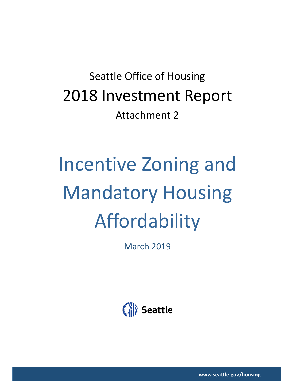# Seattle Office of Housing 2018 Investment Report Attachment 2

# Incentive Zoning and Mandatory Housing Affordability

March 2019



**www.seattle.gov/housing**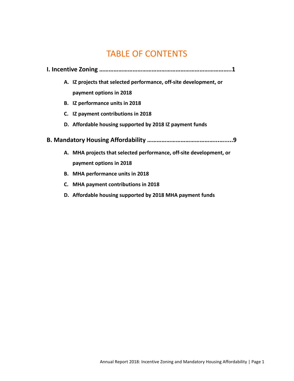# TABLE OF CONTENTS

| A. IZ projects that selected performance, off-site development, or  |
|---------------------------------------------------------------------|
| payment options in 2018                                             |
| B. IZ performance units in 2018                                     |
| C. IZ payment contributions in 2018                                 |
| D. Affordable housing supported by 2018 IZ payment funds            |
|                                                                     |
| 9.                                                                  |
| A. MHA projects that selected performance, off-site development, or |
| payment options in 2018                                             |
| B. MHA performance units in 2018                                    |
| C. MHA payment contributions in 2018                                |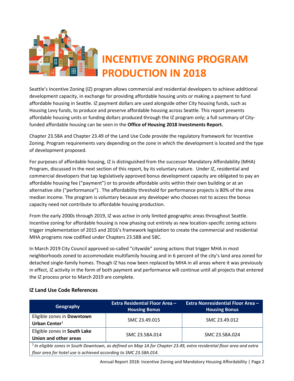

Seattle's Incentive Zoning (IZ) program allows commercial and residential developers to achieve additional development capacity, in exchange for providing affordable housing units or making a payment to fund affordable housing in Seattle. IZ payment dollars are used alongside other City housing funds, such as Housing Levy funds, to produce and preserve affordable housing across Seattle. This report presents affordable housing units or funding dollars produced through the IZ program only; a full summary of Cityfunded affordable housing can be seen in the **Office of Housing 2018 Investments Report.**

Chapter 23.58A and Chapter 23.49 of the Land Use Code provide the regulatory framework for Incentive Zoning. Program requirements vary depending on the zone in which the development is located and the type of development proposed.

For purposes of affordable housing, IZ is distinguished from the successor Mandatory Affordability (MHA) Program, discussed in the next section of this report, by its voluntary nature. Under IZ, residential and commercial developers that tap legislatively approved bonus development capacity are obligated to pay an affordable housing fee ("payment") or to provide affordable units within their own building or at an alternative site ("performance"). The affordability threshold for performance projects is 80% of the area median income. The program is voluntary because any developer who chooses not to access the bonus capacity need not contribute to affordable housing production.

From the early 2000s through 2019, IZ was active in only limited geographic areas throughout Seattle. Incentive zoning for affordable housing is now phasing out entirely as new location-specific zoning actions trigger implementation of 2015 and 2016's framework legislation to create the commercial and residential MHA programs now codified under Chapters 23.58B and 58C.

In March 2019 City Council approved so-called "citywide" zoning actions that trigger MHA in most neighborhoods zoned to accommodate multifamily housing and in 6 percent of the city's land area zoned for detached single-family homes. Though IZ has now been replaced by MHA in all areas where it was previously in effect, IZ activity in the form of both payment and performance will continue until all projects that entered the IZ process prior to March 2019 are complete.

### **IZ Land Use Code References**

| Geography                                                                                                                                                                                    | <b>Extra Residential Floor Area -</b><br><b>Housing Bonus</b> | <b>Extra Nonresidential Floor Area -</b><br><b>Housing Bonus</b> |  |  |  |  |
|----------------------------------------------------------------------------------------------------------------------------------------------------------------------------------------------|---------------------------------------------------------------|------------------------------------------------------------------|--|--|--|--|
| Eligible zones in Downtown<br>Urban Center $1$                                                                                                                                               | SMC 23.49.015                                                 | SMC 23.49.012                                                    |  |  |  |  |
| Eligible zones in South Lake<br>Union and other areas                                                                                                                                        | SMC 23.58A.014                                                | SMC 23.58A.024                                                   |  |  |  |  |
| $1$ In eligible zones in South Downtown, as defined on Map 1A for Chapter 23.49, extra residential floor area and extra<br>floor area for hotel use is achieved according to SMC 23.58A.014. |                                                               |                                                                  |  |  |  |  |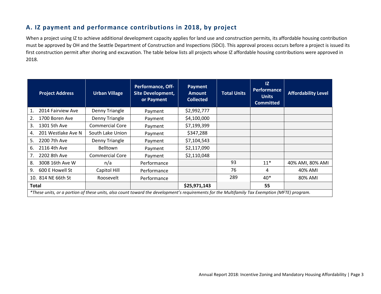### **A. IZ payment and performance contributions in 2018, by project**

When a project using IZ to achieve additional development capacity applies for land use and construction permits, its affordable housing contribution must be approved by OH and the Seattle Department of Construction and Inspections (SDCI). This approval process occurs before a project is issued its first construction permit after shoring and excavation. The table below lists all projects whose IZ affordable housing contributions were approved in 2018.

| <b>Project Address</b>                                                                                                                        | <b>Urban Village</b>   | <b>Performance, Off-</b><br><b>Site Development,</b><br>or Payment | Payment<br><b>Amount</b><br><b>Collected</b> | <b>Total Units</b> | 1Z<br><b>Performance</b><br><b>Units</b><br><b>Committed</b> | <b>Affordability Level</b> |
|-----------------------------------------------------------------------------------------------------------------------------------------------|------------------------|--------------------------------------------------------------------|----------------------------------------------|--------------------|--------------------------------------------------------------|----------------------------|
| 2014 Fairview Ave<br>1.                                                                                                                       | Denny Triangle         | Payment                                                            | \$2,992,777                                  |                    |                                                              |                            |
| 1700 Boren Ave<br>2.                                                                                                                          | Denny Triangle         | Payment                                                            | \$4,100,000                                  |                    |                                                              |                            |
| 1301 5th Ave<br>3.                                                                                                                            | <b>Commercial Core</b> | Payment                                                            | \$7,199,399                                  |                    |                                                              |                            |
| 201 Westlake Ave N<br>4.                                                                                                                      | South Lake Union       | Payment                                                            | \$347,288                                    |                    |                                                              |                            |
| 2200 7th Ave<br>5.                                                                                                                            | Denny Triangle         | Payment                                                            | \$7,104,543                                  |                    |                                                              |                            |
| 2116 4th Ave<br>6.                                                                                                                            | <b>Belltown</b>        | Payment                                                            | \$2,117,090                                  |                    |                                                              |                            |
| 7.<br>2202 8th Ave                                                                                                                            | <b>Commercial Core</b> | Payment                                                            | \$2,110,048                                  |                    |                                                              |                            |
| 3008 16th Ave W<br>8.                                                                                                                         | n/a                    | Performance                                                        |                                              | 93                 | $11*$                                                        | 40% AMI, 80% AMI           |
| 600 E Howell St<br>9.                                                                                                                         | Capitol Hill           | Performance                                                        |                                              | 76                 | 4                                                            | 40% AMI                    |
| 10. 814 NE 66th St                                                                                                                            | Roosevelt              | Performance                                                        |                                              | 289                | $40*$                                                        | 80% AMI                    |
| Total                                                                                                                                         |                        |                                                                    | \$25,971,143                                 |                    | 55                                                           |                            |
| *These units, or a portion of these units, also count toward the development's requirements for the Multifamily Tax Exemption (MFTE) program. |                        |                                                                    |                                              |                    |                                                              |                            |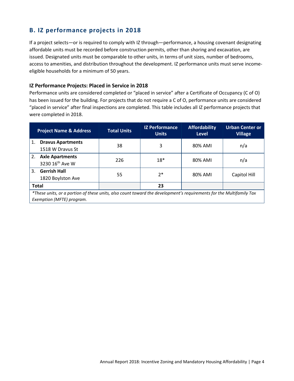## **B. IZ performance projects in 2018**

If a project selects—or is required to comply with IZ through—performance, a housing covenant designating affordable units must be recorded before construction permits, other than shoring and excavation, are issued. Designated units must be comparable to other units, in terms of unit sizes, number of bedrooms, access to amenities, and distribution throughout the development. IZ performance units must serve incomeeligible households for a minimum of 50 years.

### **IZ Performance Projects: Placed in Service in 2018**

Performance units are considered completed or "placed in service" after a Certificate of Occupancy (C of O) has been issued for the building. For projects that do not require a C of O, performance units are considered "placed in service" after final inspections are completed. This table includes all IZ performance projects that were completed in 2018.

|    | <b>Project Name &amp; Address</b>                                                                                                                | <b>Total Units</b> | <b>IZ Performance</b><br><b>Units</b> | <b>Affordability</b><br>Level | <b>Urban Center or</b><br><b>Village</b> |
|----|--------------------------------------------------------------------------------------------------------------------------------------------------|--------------------|---------------------------------------|-------------------------------|------------------------------------------|
| 1. | <b>Dravus Apartments</b><br>1518 W Dravus St                                                                                                     | 38                 | 3                                     | 80% AMI                       | n/a                                      |
| 2. | <b>Axle Apartments</b><br>3230 16 <sup>th</sup> Ave W                                                                                            | 226                | $18*$                                 | 80% AMI                       | n/a                                      |
| 3. | <b>Gerrish Hall</b><br>1820 Boylston Ave                                                                                                         | 55                 | $2*$                                  | 80% AMI                       | Capitol Hill                             |
|    | <b>Total</b>                                                                                                                                     |                    | 23                                    |                               |                                          |
|    | *These units, or a portion of these units, also count toward the development's requirements for the Multifamily Tax<br>Exemption (MFTE) program. |                    |                                       |                               |                                          |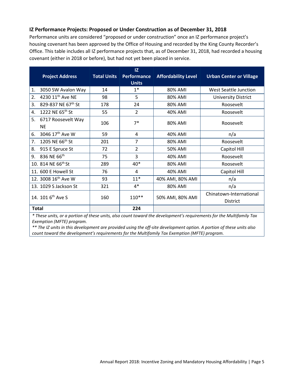### **IZ Performance Projects: Proposed or Under Construction as of December 31, 2018**

Performance units are considered "proposed or under construction" once an IZ performance project's housing covenant has been approved by the Office of Housing and recorded by the King County Recorder's Office. This table includes all IZ performance projects that, as of December 31, 2018, had recorded a housing covenant (either in 2018 or before), but had not yet been placed in service.

| <b>Project Address</b>                | <b>Total Units</b> | 1Z<br><b>Performance</b><br><b>Units</b> | <b>Affordability Level</b> | <b>Urban Center or Village</b>             |
|---------------------------------------|--------------------|------------------------------------------|----------------------------|--------------------------------------------|
| 3050 SW Avalon Way<br>1.              | 14                 | $1^*$                                    | 80% AMI                    | West Seattle Junction                      |
| 4230 11 <sup>th</sup> Ave NE<br>2.    | 98                 | 5                                        | 80% AMI                    | <b>University District</b>                 |
| 829-837 NE 67th St<br>3.              | 178                | 24                                       | 80% AMI                    | Roosevelt                                  |
| 1222 NE 65th St<br>4.                 | 55                 | $\overline{2}$                           | 40% AMI                    | Roosevelt                                  |
| 5.<br>6717 Roosevelt Way<br><b>NE</b> | 106                | $7*$                                     | 80% AMI                    | Roosevelt                                  |
| 3046 17 <sup>th</sup> Ave W<br>6.     | 59                 | 4                                        | 40% AMI                    | n/a                                        |
| 1205 NE 66 <sup>th</sup> St<br>7.     | 201                | 7                                        | 80% AMI                    | Roosevelt                                  |
| 8.<br>915 E Spruce St                 | 72                 | $\overline{2}$                           | 50% AMI                    | Capitol Hill                               |
| 836 NE 66th<br>9.                     | 75                 | 3                                        | 40% AMI                    | Roosevelt                                  |
| 10. 814 NE 66 <sup>th</sup> St        | 289                | $40*$                                    | 80% AMI                    | Roosevelt                                  |
| 11. 600 E Howell St                   | 76                 | 4                                        | 40% AMI                    | Capitol Hill                               |
| 12. 3008 16 <sup>th</sup> Ave W       | 93                 | $11*$                                    | 40% AMI, 80% AMI           | n/a                                        |
| 13. 1029 S Jackson St                 | 321                | $4*$                                     | 80% AMI                    | n/a                                        |
| 14. 101 6 <sup>th</sup> Ave S         | 160                | $110**$                                  | 50% AMI, 80% AMI           | Chinatown-International<br><b>District</b> |
| <b>Total</b>                          |                    | 224                                      |                            |                                            |

*\* These units, or a portion of these units, also count toward the development's requirements for the Multifamily Tax Exemption (MFTE) program.*

*\*\* The IZ units in this development are provided using the off-site development option. A portion of these units also count toward the development's requirements for the Multifamily Tax Exemption (MFTE) program.*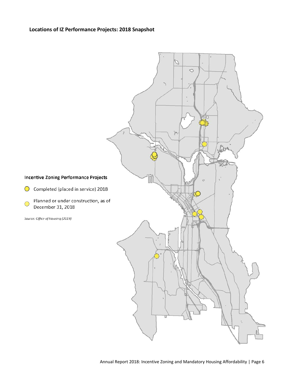### **Locations of IZ Performance Projects: 2018 Snapshot**

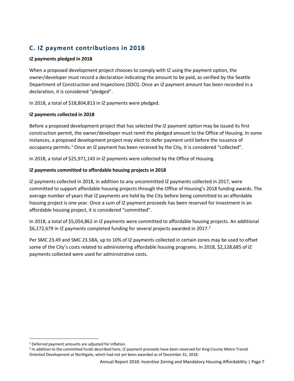# **C. IZ payment contributions in 2018**

### **IZ payments pledged in 2018**

When a proposed development project chooses to comply with IZ using the payment option, the owner/developer must record a declaration indicating the amount to be paid, as verified by the Seattle Department of Construction and Inspections (SDCI). Once an IZ payment amount has been recorded in a declaration, it is considered "pledged".

In 2018, a total of \$18,804,813 in IZ payments were pledged.

### **IZ payments collected in 2018**

Before a proposed development project that has selected the IZ payment option may be issued its first construction permit, the owner/developer must remit the pledged amount to the Office of Housing. In some instances, a proposed development project may elect to defer payment until before the issuance of occupancy permits.<sup>[1](#page-7-0)</sup> Once an IZ payment has been received by the City, it is considered "collected".

In 2018, a total of \$25,971,143 in IZ payments were collected by the Office of Housing.

### **IZ payments committed to affordable housing projects in 2018**

IZ payments collected in 2018, in addition to any uncommitted IZ payments collected in 2017, were committed to support affordable housing projects through the Office of Housing's 2018 funding awards. The average number of years that IZ payments are held by the City before being committed to an affordable housing project is one year. Once a sum of IZ payment proceeds has been reserved for investment in an affordable housing project, it is considered "committed".

In 2018, a total of \$5,054,862 in IZ payments were committed to affordable housing projects. An additional \$6,17[2](#page-7-1),679 in IZ payments completed funding for several projects awarded in 2017.<sup>2</sup>

Per SMC 23.49 and SMC 23.58A, up to 10% of IZ payments collected in certain zones may be used to offset some of the City's costs related to administering affordable housing programs. In 2018, \$2,128,685 of IZ payments collected were used for administrative costs.

<span id="page-7-0"></span> <sup>1</sup> Deferred payment amounts are adjusted for inflation.

<span id="page-7-1"></span><sup>&</sup>lt;sup>2</sup> In addition to the committed funds described here, IZ payment proceeds have been reserved for King County Metro Transit Oriented Development at Northgate, which had not yet been awarded as of December 31, 2018.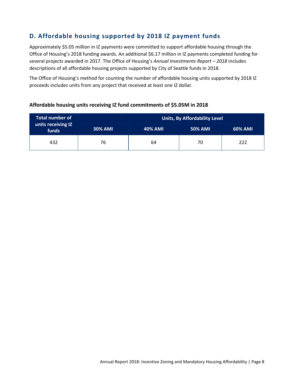# **D. Affordable housing supported by 2018 IZ payment funds**

Approximately \$5.05 million in IZ payments were committed to support affordable housing through the Office of Housing's 2018 funding awards. An additional \$6.17 million in IZ payments completed funding for several projects awarded in 2017. The Office of Housing's *Annual Investments Report – 2018* includes descriptions of all affordable housing projects supported by City of Seattle funds in 2018.

The Office of Housing's method for counting the number of affordable housing units supported by 2018 IZ proceeds includes units from any project that received at least one IZ dollar.

| <b>Total number of</b>      | Units, By Affordability Level |                |                |                |  |
|-----------------------------|-------------------------------|----------------|----------------|----------------|--|
| units receiving IZ<br>funds | <b>30% AMI</b>                | <b>40% AMI</b> | <b>50% AMI</b> | <b>60% AMI</b> |  |
| 432                         | 76                            | 64             | 70             | 222            |  |

### **Affordable housing units receiving IZ fund commitments of \$5.05M in 2018**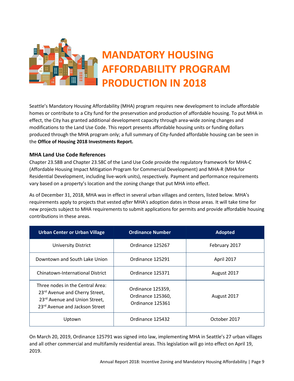

# **MANDATORY HOUSING AFFORDABILITY PROGRAM PRODUCTION IN 2018**

Seattle's Mandatory Housing Affordability (MHA) program requires new development to include affordable homes or contribute to a City fund for the preservation and production of affordable housing. To put MHA in effect, the City has granted additional development capacity through area-wide zoning changes and modifications to the Land Use Code. This report presents affordable housing units or funding dollars produced through the MHA program only; a full summary of City-funded affordable housing can be seen in the **Office of Housing 2018 Investments Report.**

### **MHA Land Use Code References**

Chapter 23.58B and Chapter 23.58C of the Land Use Code provide the regulatory framework for MHA-C (Affordable Housing Impact Mitigation Program for Commercial Development) and MHA-R (MHA for Residential Development, including live-work units), respectively. Payment and performance requirements vary based on a property's location and the zoning change that put MHA into effect.

As of December 31, 2018, MHA was in effect in several urban villages and centers, listed below. MHA's requirements apply to projects that vested *after* MHA's adoption dates in those areas. It will take time for new projects subject to MHA requirements to submit applications for permits and provide affordable housing contributions in these areas.

| <b>Urban Center or Urban Village</b>                                                                                                  | <b>Ordinance Number</b>                                    | <b>Adopted</b> |
|---------------------------------------------------------------------------------------------------------------------------------------|------------------------------------------------------------|----------------|
| <b>University District</b>                                                                                                            | Ordinance 125267                                           | February 2017  |
| Downtown and South Lake Union                                                                                                         | Ordinance 125291                                           | April 2017     |
| Chinatown-International District                                                                                                      | Ordinance 125371                                           | August 2017    |
| Three nodes in the Central Area:<br>23rd Avenue and Cherry Street,<br>23rd Avenue and Union Street,<br>23rd Avenue and Jackson Street | Ordinance 125359,<br>Ordinance 125360,<br>Ordinance 125361 | August 2017    |
| Uptown                                                                                                                                | Ordinance 125432                                           | October 2017   |

On March 20, 2019, Ordinance 125791 was signed into law, implementing MHA in Seattle's 27 urban villages and all other commercial and multifamily residential areas. This legislation will go into effect on April 19, 2019.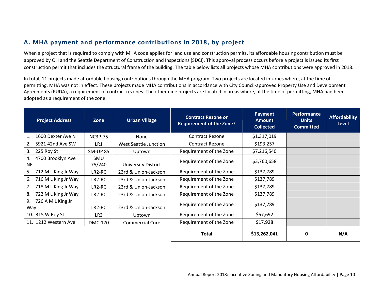# **A. MHA payment and performance contributions in 2018, by project**

When a project that is required to comply with MHA code applies for land use and construction permits, its affordable housing contribution must be approved by OH and the Seattle Department of Construction and Inspections (SDCI). This approval process occurs before a project is issued its first construction permit that includes the structural frame of the building. The table below lists all projects whose MHA contributions were approved in 2018.

In total, 11 projects made affordable housing contributions through the MHA program. Two projects are located in zones where, at the time of permitting, MHA was not in effect. These projects made MHA contributions in accordance with City Council-approved Property Use and Development Agreements (PUDA), a requirement of contract rezones. The other nine projects are located in areas where, at the time of permitting, MHA had been adopted as a requirement of the zone.

| <b>Project Address</b>         | Zone                 | <b>Urban Village</b>       | <b>Contract Rezone or</b><br><b>Requirement of the Zone?</b> | <b>Payment</b><br><b>Amount</b><br><b>Collected</b> | Performance<br><b>Units</b><br><b>Committed</b> | <b>Affordability</b><br><b>Level</b> |
|--------------------------------|----------------------|----------------------------|--------------------------------------------------------------|-----------------------------------------------------|-------------------------------------------------|--------------------------------------|
| 1600 Dexter Ave N<br>1.        | <b>NC3P-75</b>       | None                       | <b>Contract Rezone</b>                                       | \$1,317,019                                         |                                                 |                                      |
| 2.<br>5921 42nd Ave SW         | LR1                  | West Seattle Junction      | <b>Contract Rezone</b>                                       | \$193,257                                           |                                                 |                                      |
| 3.<br>225 Roy St               | <b>SM-UP 85</b>      | Uptown                     | Requirement of the Zone                                      | \$7,216,540                                         |                                                 |                                      |
| 4700 Brooklyn Ave<br>4.<br>NE. | <b>SMU</b><br>75/240 | <b>University District</b> | Requirement of the Zone                                      | \$3,760,658                                         |                                                 |                                      |
| 5.<br>712 M L King Jr Way      | LR2-RC               | 23rd & Union-Jackson       | Requirement of the Zone                                      | \$137,789                                           |                                                 |                                      |
| 716 M L King Jr Way<br>6.      | LR2-RC               | 23rd & Union-Jackson       | Requirement of the Zone                                      | \$137,789                                           |                                                 |                                      |
| 718 M L King Jr Way<br>7.      | $LR2-RC$             | 23rd & Union-Jackson       | Requirement of the Zone                                      | \$137,789                                           |                                                 |                                      |
| 722 M L King Jr Way<br>8.      | LR2-RC               | 23rd & Union-Jackson       | Requirement of the Zone                                      | \$137,789                                           |                                                 |                                      |
| 726 A M L King Jr<br>9.<br>Way | LR2-RC               | 23rd & Union-Jackson       | Requirement of the Zone                                      | \$137,789                                           |                                                 |                                      |
| 10. 315 W Roy St               | LR <sub>3</sub>      | Uptown                     | Requirement of the Zone                                      | \$67,692                                            |                                                 |                                      |
| 11. 1212 Western Ave           | <b>DMC-170</b>       | <b>Commercial Core</b>     | Requirement of the Zone                                      | \$17,928                                            |                                                 |                                      |
|                                |                      |                            | <b>Total</b>                                                 | \$13,262,041                                        | 0                                               | N/A                                  |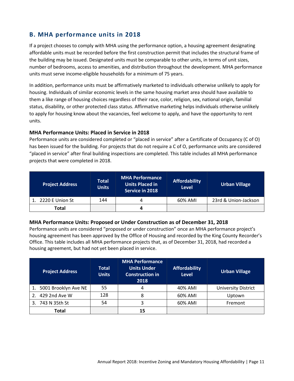### **B. MHA performance units in 2018**

If a project chooses to comply with MHA using the performance option, a housing agreement designating affordable units must be recorded before the first construction permit that includes the structural frame of the building may be issued. Designated units must be comparable to other units, in terms of unit sizes, number of bedrooms, access to amenities, and distribution throughout the development. MHA performance units must serve income-eligible households for a minimum of 75 years.

In addition, performance units must be affirmatively marketed to individuals otherwise unlikely to apply for housing. Individuals of similar economic levels in the same housing market area should have available to them a like range of housing choices regardless of their race, color, religion, sex, national origin, familial status, disability, or other protected class status. Affirmative marketing helps individuals otherwise unlikely to apply for housing know about the vacancies, feel welcome to apply, and have the opportunity to rent units.

### **MHA Performance Units: Placed in Service in 2018**

Performance units are considered completed or "placed in service" after a Certificate of Occupancy (C of O) has been issued for the building. For projects that do not require a C of O, performance units are considered "placed in service" after final building inspections are completed. This table includes all MHA performance projects that were completed in 2018.

| <b>Project Address</b> | <b>Total</b><br><b>Units</b> | <b>MHA Performance</b><br><b>Units Placed in</b><br>Service in 2018 | <b>Affordability</b><br><b>Level</b> | <b>Urban Village</b> |
|------------------------|------------------------------|---------------------------------------------------------------------|--------------------------------------|----------------------|
| 1. 2220 E Union St     | 144                          |                                                                     | 60% AMI                              | 23rd & Union-Jackson |
| Total                  |                              |                                                                     |                                      |                      |

### **MHA Performance Units: Proposed or Under Construction as of December 31, 2018**

Performance units are considered "proposed or under construction" once an MHA performance project's housing agreement has been approved by the Office of Housing and recorded by the King County Recorder's Office. This table includes all MHA performance projects that, as of December 31, 2018, had recorded a housing agreement, but had not yet been placed in service.

| <b>Project Address</b>  | <b>Total</b><br><b>Units</b> | <b>MHA Performance</b><br><b>Units Under</b><br><b>Construction in</b><br>2018 | <b>Affordability</b><br><b>Level</b> | <b>Urban Village</b>       |
|-------------------------|------------------------------|--------------------------------------------------------------------------------|--------------------------------------|----------------------------|
| 1. 5001 Brooklyn Ave NE | 55                           | 4                                                                              | 40% AMI                              | <b>University District</b> |
| 429 2nd Ave W           | 128                          | 8                                                                              | 60% AMI                              | Uptown                     |
| 3. 743 N 35th St        | 54                           |                                                                                | 60% AMI                              | Fremont                    |
| Total                   |                              | 15                                                                             |                                      |                            |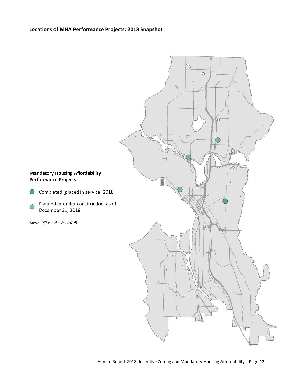### **Locations of MHA Performance Projects: 2018 Snapshot**



December 31, 2018

Source: Office of Housing (2019)

 $\bigcirc$ 

C

Completed (placed in service) 2018

Planned or under construction, as of



2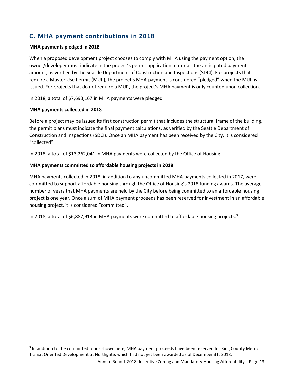# **C. MHA payment contributions in 2018**

### **MHA payments pledged in 2018**

When a proposed development project chooses to comply with MHA using the payment option, the owner/developer must indicate in the project's permit application materials the anticipated payment amount, as verified by the Seattle Department of Construction and Inspections (SDCI). For projects that require a Master Use Permit (MUP), the project's MHA payment is considered "pledged" when the MUP is issued. For projects that do not require a MUP, the project's MHA payment is only counted upon collection.

In 2018, a total of \$7,693,167 in MHA payments were pledged.

### **MHA payments collected in 2018**

Before a project may be issued its first construction permit that includes the structural frame of the building, the permit plans must indicate the final payment calculations, as verified by the Seattle Department of Construction and Inspections (SDCI). Once an MHA payment has been received by the City, it is considered "collected".

In 2018, a total of \$13,262,041 in MHA payments were collected by the Office of Housing.

### **MHA payments committed to affordable housing projects in 2018**

MHA payments collected in 2018, in addition to any uncommitted MHA payments collected in 2017, were committed to support affordable housing through the Office of Housing's 2018 funding awards. The average number of years that MHA payments are held by the City before being committed to an affordable housing project is one year. Once a sum of MHA payment proceeds has been reserved for investment in an affordable housing project, it is considered "committed".

In 2018, a total of \$6,887,91[3](#page-13-0) in MHA payments were committed to affordable housing projects.<sup>3</sup>

<span id="page-13-0"></span><sup>&</sup>lt;sup>3</sup> In addition to the committed funds shown here, MHA payment proceeds have been reserved for King County Metro Transit Oriented Development at Northgate, which had not yet been awarded as of December 31, 2018.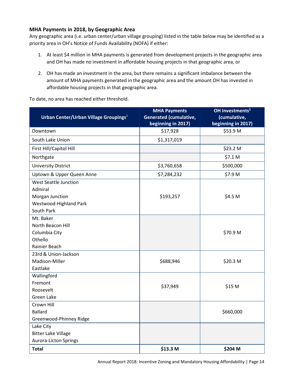### **MHA Payments in 2018, by Geographic Area**

Any geographic area (i.e. urban center/urban village grouping) listed in the table below may be identified as a priority area in OH's Notice of Funds Availability (NOFA) if either:

- 1. At least \$4 million in MHA payments is generated from development projects in the geographic area and OH has made no investment in affordable housing projects in that geographic area, or
- 2. OH has made an investment in the area, but there remains a significant imbalance between the amount of MHA payments generated in the geographic area and the amount OH has invested in affordable housing projects in that geographic area.

To date, no area has reached either threshold.

| Urban Center/Urban Village Groupings <sup>1</sup> | <b>MHA Payments</b><br><b>Generated (cumulative,</b> | OH Investments <sup>2</sup><br>(cumulative, |
|---------------------------------------------------|------------------------------------------------------|---------------------------------------------|
|                                                   | beginning in 2017)                                   | beginning in 2017)                          |
| Downtown                                          | \$17,928                                             | \$53.9 M                                    |
| South Lake Union                                  | \$1,317,019                                          |                                             |
| First Hill/Capitol Hill                           |                                                      | \$23.2 M                                    |
| Northgate                                         |                                                      | \$7.1 M                                     |
| <b>University District</b>                        | \$3,760,658                                          | \$500,000                                   |
| Uptown & Upper Queen Anne                         | \$7,284,232                                          | \$7.9 M                                     |
| <b>West Seattle Junction</b>                      |                                                      |                                             |
| Admiral                                           |                                                      |                                             |
| Morgan Junction                                   | \$193,257                                            | \$4.5 M                                     |
| Westwood-Highland Park                            |                                                      |                                             |
| South Park                                        |                                                      |                                             |
| Mt. Baker                                         |                                                      |                                             |
| North Beacon Hill                                 |                                                      |                                             |
| Columbia City                                     |                                                      | \$70.9 M                                    |
| Othello                                           |                                                      |                                             |
| Rainier Beach                                     |                                                      |                                             |
| 23rd & Union-Jackson                              |                                                      |                                             |
| Madison-Miller                                    | \$688,946                                            | \$20.3 M                                    |
| Eastlake                                          |                                                      |                                             |
| Wallingford                                       |                                                      |                                             |
| Fremont                                           | \$37,949                                             | \$15 M                                      |
| Roosevelt                                         |                                                      |                                             |
| <b>Green Lake</b>                                 |                                                      |                                             |
| Crown Hill                                        |                                                      |                                             |
| <b>Ballard</b>                                    |                                                      | \$660,000                                   |
| Greenwood-Phinney Ridge                           |                                                      |                                             |
| Lake City                                         |                                                      |                                             |
| <b>Bitter Lake Village</b>                        |                                                      |                                             |
| <b>Aurora-Licton Springs</b>                      |                                                      |                                             |
| <b>Total</b>                                      | \$13.3 M                                             | \$204 M                                     |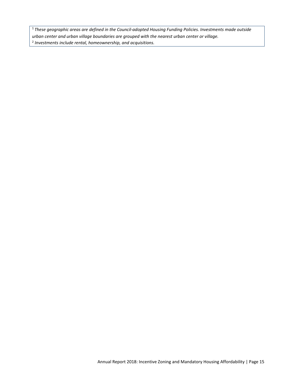<sup>1</sup> These geographic areas are defined in the Council-adopted Housing Funding Policies. Investments made outside *urban center and urban village boundaries are grouped with the nearest urban center or village.* <sup>2</sup> *Investments include rental, homeownership, and acquisitions.*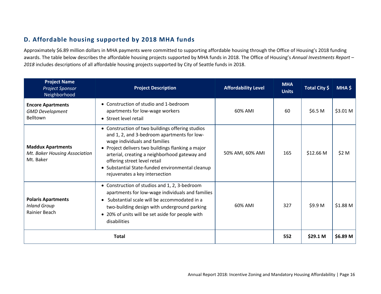# **D. Affordable housing supported by 2018 MHA funds**

Approximately \$6.89 million dollars in MHA payments were committed to supporting affordable housing through the Office of Housing's 2018 funding awards. The table below describes the affordable housing projects supported by MHA funds in 2018. The Office of Housing's *Annual Investments Report – 2018* includes descriptions of all affordable housing projects supported by City of Seattle funds in 2018.

| <b>Project Name</b><br><b>Project Sponsor</b><br>Neighborhood          | <b>Project Description</b>                                                                                                                                                                                                                                                                                                                                   | <b>Affordability Level</b> | <b>MHA</b><br><b>Units</b> | Total City \$       | MHA \$              |
|------------------------------------------------------------------------|--------------------------------------------------------------------------------------------------------------------------------------------------------------------------------------------------------------------------------------------------------------------------------------------------------------------------------------------------------------|----------------------------|----------------------------|---------------------|---------------------|
| <b>Encore Apartments</b><br><b>GMD Development</b><br>Belltown         | • Construction of studio and 1-bedroom<br>apartments for low-wage workers<br>• Street level retail                                                                                                                                                                                                                                                           | 60% AMI                    | 60                         | \$6.5 <sub>M</sub>  | \$3.01 <sub>M</sub> |
| <b>Maddux Apartments</b><br>Mt. Baker Housing Association<br>Mt. Baker | • Construction of two buildings offering studios<br>and 1, 2, and 3-bedroom apartments for low-<br>wage individuals and families<br>• Project delivers two buildings flanking a major<br>arterial, creating a neighborhood gateway and<br>offering street level retail<br>• Substantial State-funded environmental cleanup<br>rejuvenates a key intersection | 50% AMI, 60% AMI           | 165                        | \$12.66 M           | \$2 M               |
| <b>Polaris Apartments</b><br><b>Inland Group</b><br>Rainier Beach      | • Construction of studios and 1, 2, 3-bedroom<br>apartments for low-wage individuals and families<br>Substantial scale will be accommodated in a<br>two-building design with underground parking<br>• 20% of units will be set aside for people with<br>disabilities                                                                                         | 60% AMI                    | 327                        | \$9.9 M             | \$1.88 M            |
|                                                                        | <b>Total</b>                                                                                                                                                                                                                                                                                                                                                 |                            | 552                        | \$29.1 <sub>M</sub> | \$6.89 M            |